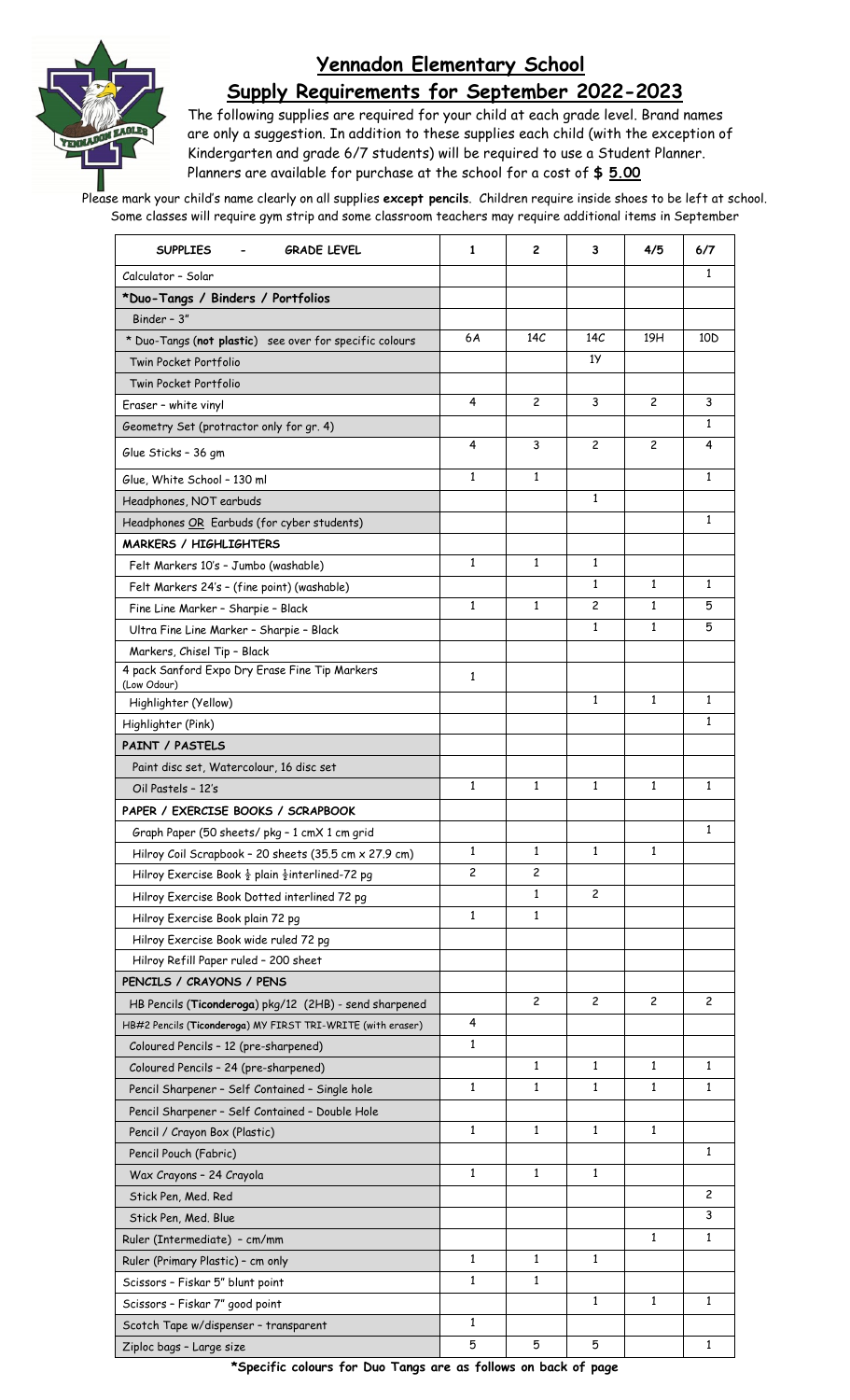

## **Yennadon Elementary School Supply Requirements for September 2022-2023**

The following supplies are required for your child at each grade level. Brand names are only a suggestion. In addition to these supplies each child (with the exception of Kindergarten and grade 6/7 students) will be required to use a Student Planner. Planners are available for purchase at the school for a cost of **\$ 5.00**

Please mark your child's name clearly on all supplies **except pencils**. Children require inside shoes to be left at school. Some classes will require gym strip and some classroom teachers may require additional items in September

| <b>SUPPLIES</b><br><b>GRADE LEVEL</b>                                   | 1            | 2              | 3            | 4/5          | 6/7             |
|-------------------------------------------------------------------------|--------------|----------------|--------------|--------------|-----------------|
| Calculator - Solar                                                      |              |                |              |              | 1               |
| *Duo-Tangs / Binders / Portfolios                                       |              |                |              |              |                 |
| Binder - 3"                                                             |              |                |              |              |                 |
| * Duo-Tangs (not plastic) see over for specific colours                 | 6A           | 14C            | 14C          | 19H          | 10 <sub>D</sub> |
| Twin Pocket Portfolio                                                   |              |                | 1У           |              |                 |
| Twin Pocket Portfolio                                                   |              |                |              |              |                 |
| Eraser - white vinyl                                                    | 4            | $\overline{c}$ | 3            | 2            | 3               |
| Geometry Set (protractor only for gr. 4)                                |              |                |              |              | 1               |
| Glue Sticks - 36 gm                                                     | 4            | 3              | 2            | 2            | 4               |
| Glue, White School - 130 ml                                             | 1            | 1              |              |              | $\mathbf{1}$    |
| Headphones, NOT earbuds                                                 |              |                | $\mathbf{1}$ |              |                 |
| Headphones OR Earbuds (for cyber students)                              |              |                |              |              | $\mathbf{1}$    |
| <b>MARKERS / HIGHLIGHTERS</b>                                           |              |                |              |              |                 |
| Felt Markers 10's - Jumbo (washable)                                    | $\mathbf{1}$ | $\mathbf{1}$   | $\mathbf{1}$ |              |                 |
| Felt Markers 24's - (fine point) (washable)                             |              |                | 1            | 1            | 1               |
| Fine Line Marker - Sharpie - Black                                      | $\mathbf{1}$ | $\mathbf{1}$   | 2            | $\mathbf{1}$ | 5               |
| Ultra Fine Line Marker - Sharpie - Black                                |              |                | 1            | $\mathbf{1}$ | 5               |
| Markers, Chisel Tip - Black                                             |              |                |              |              |                 |
| 4 pack Sanford Expo Dry Erase Fine Tip Markers                          | 1            |                |              |              |                 |
| (Low Odour)                                                             |              |                |              |              |                 |
| Highlighter (Yellow)                                                    |              |                | 1            | 1            | 1               |
| Highlighter (Pink)                                                      |              |                |              |              | $\mathbf{1}$    |
| <b>PAINT / PASTELS</b>                                                  |              |                |              |              |                 |
| Paint disc set, Watercolour, 16 disc set                                |              |                |              |              |                 |
| Oil Pastels - 12's                                                      | 1            | 1              | 1            | $\mathbf{1}$ | 1               |
| PAPER / EXERCISE BOOKS / SCRAPBOOK                                      |              |                |              |              |                 |
| Graph Paper (50 sheets/ pkg - 1 cmX 1 cm grid                           |              |                |              |              | $\mathbf{1}$    |
| Hilroy Coil Scrapbook - 20 sheets (35.5 cm x 27.9 cm)                   | 1            | 1              | 1            | 1            |                 |
| Hilroy Exercise Book $\frac{1}{2}$ plain $\frac{1}{2}$ interlined-72 pg | 2            | 2              |              |              |                 |
| Hilroy Exercise Book Dotted interlined 72 pg                            |              | 1              | $\mathbf{2}$ |              |                 |
| Hilroy Exercise Book plain 72 pg                                        | $\mathbf{1}$ | 1              |              |              |                 |
| Hilroy Exercise Book wide ruled 72 pg                                   |              |                |              |              |                 |
| Hilroy Refill Paper ruled - 200 sheet                                   |              |                |              |              |                 |
| PENCILS / CRAYONS / PENS                                                |              |                |              |              |                 |
| HB Pencils (Ticonderoga) pkg/12 (2HB) - send sharpened                  |              | 2              | 2            | 2            | 2               |
| HB#2 Pencils (Ticonderoga) MY FIRST TRI-WRITE (with eraser)             | 4            |                |              |              |                 |
| Coloured Pencils - 12 (pre-sharpened)                                   | 1            |                |              |              |                 |
| Coloured Pencils - 24 (pre-sharpened)                                   |              | 1              | 1            | 1            | $\mathbf{1}$    |
| Pencil Sharpener - Self Contained - Single hole                         | $\mathbf{1}$ | $\mathbf{1}$   | $\mathbf{1}$ | $\mathbf{1}$ | $\mathbf{1}$    |
| Pencil Sharpener - Self Contained - Double Hole                         |              |                |              |              |                 |
| Pencil / Crayon Box (Plastic)                                           | $\mathbf{1}$ | $\mathbf{1}$   | $\mathbf{1}$ | $\mathbf{1}$ |                 |
| Pencil Pouch (Fabric)                                                   |              |                |              |              | 1               |
| Wax Crayons - 24 Crayola                                                | 1            | 1              | 1            |              |                 |
| Stick Pen, Med. Red                                                     |              |                |              |              | $\overline{c}$  |
| Stick Pen, Med. Blue                                                    |              |                |              |              | 3               |
| Ruler (Intermediate) - cm/mm                                            |              |                |              | $\mathbf{1}$ | $\mathbf{1}$    |
| Ruler (Primary Plastic) - cm only                                       | 1            | 1              | 1            |              |                 |
| Scissors - Fiskar 5" blunt point                                        | 1            | 1              |              |              |                 |
| Scissors - Fiskar 7" good point                                         |              |                | 1            | $\mathbf{1}$ | $\mathbf{1}$    |
| Scotch Tape w/dispenser - transparent                                   | 1            |                |              |              |                 |
| Ziploc bags - Large size                                                | 5            | 5              | 5            |              | 1               |